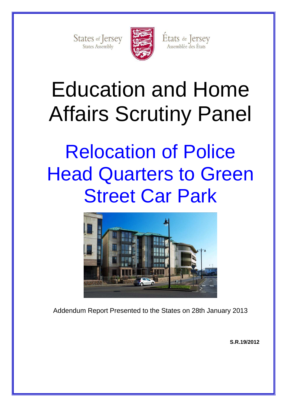States of Jersey



États de Jersey<br>Assemblée des États

# Education and Home Affairs Scrutiny Panel

# Relocation of Police Head Quarters to Green Street Car Park



Addendum Report Presented to the States on 28th January 2013

**S.R.19/2012**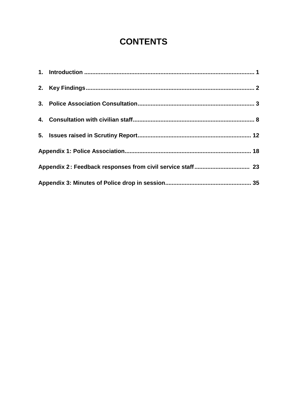# **CONTENTS**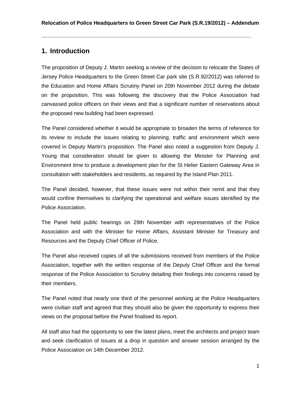## **1. Introduction**

The proposition of Deputy J. Martin seeking a review of the decision to relocate the States of Jersey Police Headquarters to the Green Street Car park site (S.R.92/2012) was referred to the Education and Home Affairs Scrutiny Panel on 20th November 2012 during the debate on the proposition. This was following the discovery that the Police Association had canvassed police officers on their views and that a significant number of reservations about the proposed new building had been expressed.

The Panel considered whether it would be appropriate to broaden the terms of reference for its review to include the issues relating to planning, traffic and environment which were covered in Deputy Martin's proposition. The Panel also noted a suggestion from Deputy J. Young that consideration should be given to allowing the Minister for Planning and Environment time to produce a development plan for the St Helier Eastern Gateway Area in consultation with stakeholders and residents, as required by the Island Plan 2011.

The Panel decided, however, that these issues were not within their remit and that they would confine themselves to clarifying the operational and welfare issues identified by the Police Association.

The Panel held public hearings on 29th November with representatives of the Police Association and with the Minister for Home Affairs, Assistant Minister for Treasury and Resources and the Deputy Chief Officer of Police.

The Panel also received copies of all the submissions received from members of the Police Association, together with the written response of the Deputy Chief Officer and the formal response of the Police Association to Scrutiny detailing their findings into concerns raised by their members.

The Panel noted that nearly one third of the personnel working at the Police Headquarters were civilian staff and agreed that they should also be given the opportunity to express their views on the proposal before the Panel finalised its report.

All staff also had the opportunity to see the latest plans, meet the architects and project team and seek clarification of issues at a drop in question and answer session arranged by the Police Association on 14th December 2012.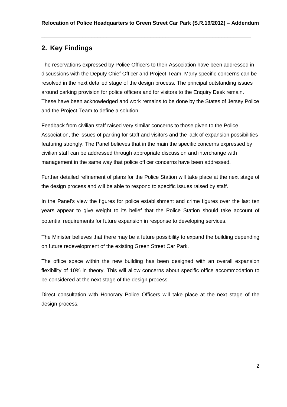# **2. Key Findings**

The reservations expressed by Police Officers to their Association have been addressed in discussions with the Deputy Chief Officer and Project Team. Many specific concerns can be resolved in the next detailed stage of the design process. The principal outstanding issues around parking provision for police officers and for visitors to the Enquiry Desk remain. These have been acknowledged and work remains to be done by the States of Jersey Police and the Project Team to define a solution.

Feedback from civilian staff raised very similar concerns to those given to the Police Association, the issues of parking for staff and visitors and the lack of expansion possibilities featuring strongly. The Panel believes that in the main the specific concerns expressed by civilian staff can be addressed through appropriate discussion and interchange with management in the same way that police officer concerns have been addressed.

Further detailed refinement of plans for the Police Station will take place at the next stage of the design process and will be able to respond to specific issues raised by staff.

In the Panel's view the figures for police establishment and crime figures over the last ten years appear to give weight to its belief that the Police Station should take account of potential requirements for future expansion in response to developing services.

The Minister believes that there may be a future possibility to expand the building depending on future redevelopment of the existing Green Street Car Park.

The office space within the new building has been designed with an overall expansion flexibility of 10% in theory. This will allow concerns about specific office accommodation to be considered at the next stage of the design process.

Direct consultation with Honorary Police Officers will take place at the next stage of the design process.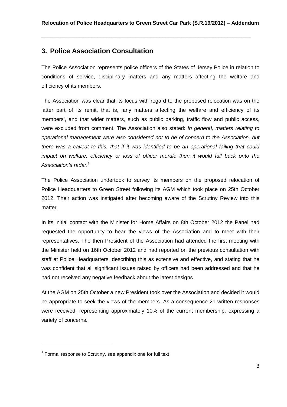# **3. Police Association Consultation**

The Police Association represents police officers of the States of Jersey Police in relation to conditions of service, disciplinary matters and any matters affecting the welfare and efficiency of its members.

The Association was clear that its focus with regard to the proposed relocation was on the latter part of its remit, that is, 'any matters affecting the welfare and efficiency of its members', and that wider matters, such as public parking, traffic flow and public access, were excluded from comment. The Association also stated: In general, matters relating to operational management were also considered not to be of concern to the Association, but there was a caveat to this, that if it was identified to be an operational failing that could impact on welfare, efficiency or loss of officer morale then it would fall back onto the Association's radar.<sup>1</sup>

The Police Association undertook to survey its members on the proposed relocation of Police Headquarters to Green Street following its AGM which took place on 25th October 2012. Their action was instigated after becoming aware of the Scrutiny Review into this matter.

In its initial contact with the Minister for Home Affairs on 8th October 2012 the Panel had requested the opportunity to hear the views of the Association and to meet with their representatives. The then President of the Association had attended the first meeting with the Minister held on 16th October 2012 and had reported on the previous consultation with staff at Police Headquarters, describing this as extensive and effective, and stating that he was confident that all significant issues raised by officers had been addressed and that he had not received any negative feedback about the latest designs.

At the AGM on 25th October a new President took over the Association and decided it would be appropriate to seek the views of the members. As a consequence 21 written responses were received, representing approximately 10% of the current membership, expressing a variety of concerns.

 $\overline{a}$ 

 $1$  Formal response to Scrutiny, see appendix one for full text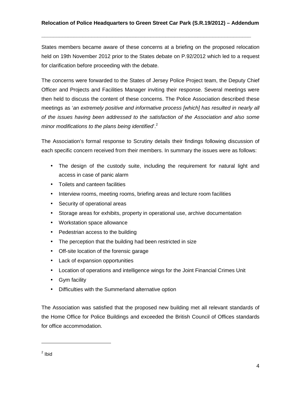States members became aware of these concerns at a briefing on the proposed relocation held on 19th November 2012 prior to the States debate on P.92/2012 which led to a request for clarification before proceeding with the debate.

The concerns were forwarded to the States of Jersey Police Project team, the Deputy Chief Officer and Projects and Facilities Manager inviting their response. Several meetings were then held to discuss the content of these concerns. The Police Association described these meetings as 'an extremely positive and informative process [which] has resulted in nearly all of the issues having been addressed to the satisfaction of the Association and also some minor modifications to the plans being identified.<sup>2</sup>

The Association's formal response to Scrutiny details their findings following discussion of each specific concern received from their members. In summary the issues were as follows:

- The design of the custody suite, including the requirement for natural light and access in case of panic alarm
- Toilets and canteen facilities
- Interview rooms, meeting rooms, briefing areas and lecture room facilities
- Security of operational areas
- Storage areas for exhibits, property in operational use, archive documentation
- Workstation space allowance
- Pedestrian access to the building
- The perception that the building had been restricted in size
- Off-site location of the forensic garage
- Lack of expansion opportunities
- Location of operations and intelligence wings for the Joint Financial Crimes Unit
- Gym facility
- Difficulties with the Summerland alternative option

The Association was satisfied that the proposed new building met all relevant standards of the Home Office for Police Buildings and exceeded the British Council of Offices standards for office accommodation.

 $\overline{a}$ 

<sup>&</sup>lt;sup>2</sup> Ibid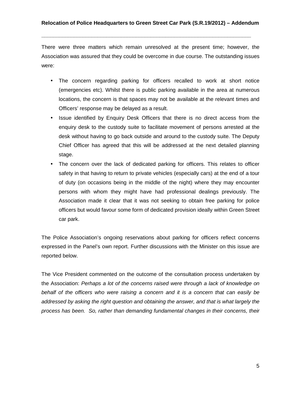There were three matters which remain unresolved at the present time; however, the Association was assured that they could be overcome in due course. The outstanding issues were:

- The concern regarding parking for officers recalled to work at short notice (emergencies etc). Whilst there is public parking available in the area at numerous locations, the concern is that spaces may not be available at the relevant times and Officers' response may be delayed as a result.
- Issue identified by Enquiry Desk Officers that there is no direct access from the enquiry desk to the custody suite to facilitate movement of persons arrested at the desk without having to go back outside and around to the custody suite. The Deputy Chief Officer has agreed that this will be addressed at the next detailed planning stage.
- The concern over the lack of dedicated parking for officers. This relates to officer safety in that having to return to private vehicles (especially cars) at the end of a tour of duty (on occasions being in the middle of the night) where they may encounter persons with whom they might have had professional dealings previously. The Association made it clear that it was not seeking to obtain free parking for police officers but would favour some form of dedicated provision ideally within Green Street car park.

The Police Association's ongoing reservations about parking for officers reflect concerns expressed in the Panel's own report. Further discussions with the Minister on this issue are reported below.

The Vice President commented on the outcome of the consultation process undertaken by the Association: Perhaps a lot of the concerns raised were through a lack of knowledge on behalf of the officers who were raising a concern and it is a concern that can easily be addressed by asking the right question and obtaining the answer, and that is what largely the process has been. So, rather than demanding fundamental changes in their concerns, their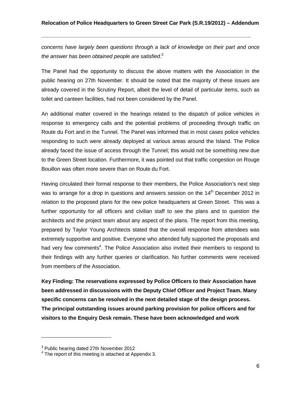concerns have largely been questions through a lack of knowledge on their part and once the answer has been obtained people are satisfied.<sup>3</sup>

The Panel had the opportunity to discuss the above matters with the Association in the public hearing on 27th November. It should be noted that the majority of these issues are already covered in the Scrutiny Report, albeit the level of detail of particular items, such as toilet and canteen facilities, had not been considered by the Panel.

An additional matter covered in the hearings related to the dispatch of police vehicles in response to emergency calls and the potential problems of proceeding through traffic on Route du Fort and in the Tunnel. The Panel was informed that in most cases police vehicles responding to such were already deployed at various areas around the Island. The Police already faced the issue of access through the Tunnel; this would not be something new due to the Green Street location. Furthermore, it was pointed out that traffic congestion on Rouge Bouillon was often more severe than on Route du Fort.

Having circulated their formal response to their members, the Police Association's next step was to arrange for a drop in questions and answers session on the 14<sup>th</sup> December 2012 in relation to the proposed plans for the new police headquarters at Green Street. This was a further opportunity for all officers and civilian staff to see the plans and to question the architects and the project team about any aspect of the plans. The report from this meeting, prepared by Taylor Young Architects stated that the overall response from attendees was extremely supportive and positive. Everyone who attended fully supported the proposals and had very few comments<sup>4</sup>. The Police Association also invited their members to respond to their findings with any further queries or clarification. No further comments were received from members of the Association.

**Key Finding: The reservations expressed by Police Officers to their Association have been addressed in discussions with the Deputy Chief Officer and Project Team. Many specific concerns can be resolved in the next detailed stage of the design process. The principal outstanding issues around parking provision for police officers and for visitors to the Enquiry Desk remain. These have been acknowledged and work** 

 $^3$  Public hearing dated 27th November 2012<br> $^4$  The report of this meeting is attached at Appendix 3.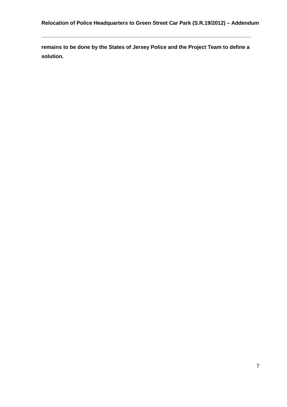**remains to be done by the States of Jersey Police and the Project Team to define a solution.** 

**\_\_\_\_\_\_\_\_\_\_\_\_\_\_\_\_\_\_\_\_\_\_\_\_\_\_\_\_\_\_\_\_\_\_\_\_\_\_\_\_\_\_\_\_\_\_\_\_\_\_\_\_\_\_\_\_\_\_\_\_\_\_\_\_\_\_\_\_\_\_\_**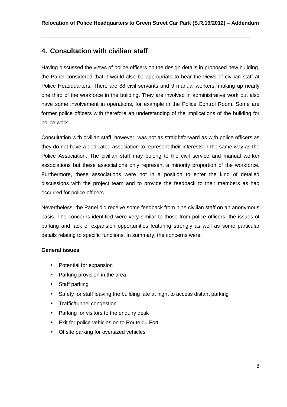# **4. Consultation with civilian staff**

Having discussed the views of police officers on the design details in proposed new building, the Panel considered that it would also be appropriate to hear the views of civilian staff at Police Headquarters. There are 88 civil servants and 9 manual workers, making up nearly one third of the workforce in the building. They are involved in administrative work but also have some involvement in operations, for example in the Police Control Room. Some are former police officers with therefore an understanding of the implications of the building for police work.

Consultation with civilian staff, however, was not as straightforward as with police officers as they do not have a dedicated association to represent their interests in the same way as the Police Association. The civilian staff may belong to the civil service and manual worker associations but these associations only represent a minority proportion of the workforce. Furthermore, these associations were not in a position to enter the kind of detailed discussions with the project team and to provide the feedback to their members as had occurred for police officers.

Nevertheless, the Panel did receive some feedback from nine civilian staff on an anonymous basis. The concerns identified were very similar to those from police officers, the issues of parking and lack of expansion opportunities featuring strongly as well as some particular details relating to specific functions. In summary, the concerns were:

#### **General issues**

- Potential for expansion
- Parking provision in the area
- Staff parking
- Safety for staff leaving the building late at night to access distant parking
- Traffic/tunnel congestion
- Parking for visitors to the enquiry desk
- Exit for police vehicles on to Route du Fort
- Offsite parking for oversized vehicles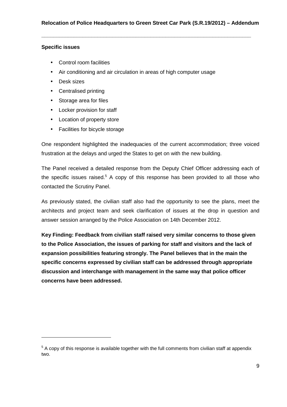#### **Specific issues**

- Control room facilities
- Air conditioning and air circulation in areas of high computer usage
- Desk sizes
- Centralised printing
- Storage area for files
- Locker provision for staff
- Location of property store
- Facilities for bicycle storage

One respondent highlighted the inadequacies of the current accommodation; three voiced frustration at the delays and urged the States to get on with the new building.

The Panel received a detailed response from the Deputy Chief Officer addressing each of the specific issues raised.<sup>5</sup> A copy of this response has been provided to all those who contacted the Scrutiny Panel.

As previously stated, the civilian staff also had the opportunity to see the plans, meet the architects and project team and seek clarification of issues at the drop in question and answer session arranged by the Police Association on 14th December 2012.

**Key Finding: Feedback from civilian staff raised very similar concerns to those given to the Police Association, the issues of parking for staff and visitors and the lack of expansion possibilities featuring strongly. The Panel believes that in the main the specific concerns expressed by civilian staff can be addressed through appropriate discussion and interchange with management in the same way that police officer concerns have been addressed.**

 $5$  A copy of this response is available together with the full comments from civilian staff at appendix two.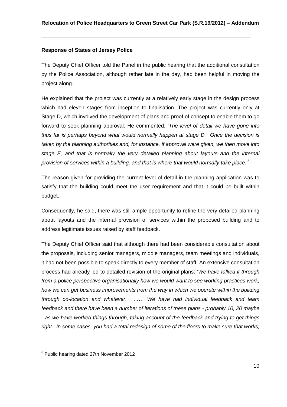#### **Response of States of Jersey Police**

The Deputy Chief Officer told the Panel in the public hearing that the additional consultation by the Police Association, although rather late in the day, had been helpful in moving the project along.

He explained that the project was currently at a relatively early stage in the design process which had eleven stages from inception to finalisation. The project was currently only at Stage D, which involved the development of plans and proof of concept to enable them to go forward to seek planning approval. He commented: 'The level of detail we have gone into thus far is perhaps beyond what would normally happen at stage D. Once the decision is taken by the planning authorities and, for instance, if approval were given, we then move into stage E, and that is normally the very detailed planning about layouts and the internal provision of services within a building, and that is where that would normally take place.' $^6$ 

The reason given for providing the current level of detail in the planning application was to satisfy that the building could meet the user requirement and that it could be built within budget.

Consequently, he said, there was still ample opportunity to refine the very detailed planning about layouts and the internal provision of services within the proposed building and to address legitimate issues raised by staff feedback.

The Deputy Chief Officer said that although there had been considerable consultation about the proposals, including senior managers, middle managers, team meetings and individuals, it had not been possible to speak directly to every member of staff. An extensive consultation process had already led to detailed revision of the original plans: 'We have talked it through from a police perspective organisationally how we would want to see working practices work, how we can get business improvements from the way in which we operate within the building through co-location and whatever. …… We have had individual feedback and team feedback and there have been a number of iterations of these plans - probably 10, 20 maybe - as we have worked things through, taking account of the feedback and trying to get things right. In some cases, you had a total redesign of some of the floors to make sure that works,

 $\overline{a}$ 

<sup>&</sup>lt;sup>6</sup> Public hearing dated 27th November 2012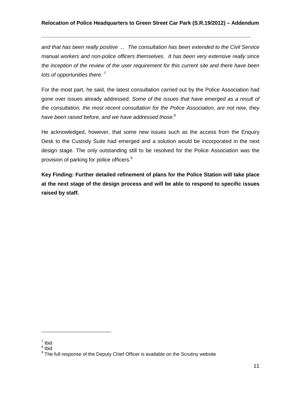and that has been really positive … The consultation has been extended to the Civil Service manual workers and non-police officers themselves. It has been very extensive really since the inception of the review of the user requirement for this current site and there have been lots of opportunities there.  $7$ 

For the most part, he said, the latest consultation carried out by the Police Association had gone over issues already addressed: Some of the issues that have emerged as a result of the consultation, the most recent consultation for the Police Association, are not new, they have been raised before, and we have addressed those.<sup>8</sup>

He acknowledged, however, that some new issues such as the access from the Enquiry Desk to the Custody Suite had emerged and a solution would be incorporated in the next design stage. The only outstanding still to be resolved for the Police Association was the provision of parking for police officers.<sup>9</sup>

**Key Finding: Further detailed refinement of plans for the Police Station will take place at the next stage of the design process and will be able to respond to specific issues raised by staff.** 

<sup>7</sup> Ibid

<sup>&</sup>lt;sup>8</sup> Ibid

 $9$  The full response of the Deputy Chief Officer is available on the Scrutiny website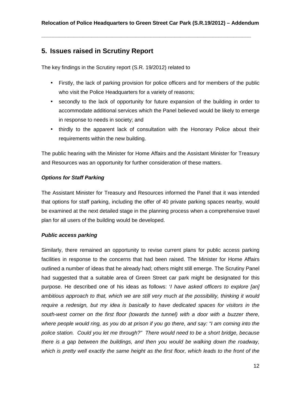## **5. Issues raised in Scrutiny Report**

The key findings in the Scrutiny report (S.R. 19/2012) related to

- Firstly, the lack of parking provision for police officers and for members of the public who visit the Police Headquarters for a variety of reasons;
- secondly to the lack of opportunity for future expansion of the building in order to accommodate additional services which the Panel believed would be likely to emerge in response to needs in society; and
- thirdly to the apparent lack of consultation with the Honorary Police about their requirements within the new building.

The public hearing with the Minister for Home Affairs and the Assistant Minister for Treasury and Resources was an opportunity for further consideration of these matters.

#### **Options for Staff Parking**

The Assistant Minister for Treasury and Resources informed the Panel that it was intended that options for staff parking, including the offer of 40 private parking spaces nearby, would be examined at the next detailed stage in the planning process when a comprehensive travel plan for all users of the building would be developed.

#### **Public access parking**

Similarly, there remained an opportunity to revise current plans for public access parking facilities in response to the concerns that had been raised. The Minister for Home Affairs outlined a number of ideas that he already had; others might still emerge. The Scrutiny Panel had suggested that a suitable area of Green Street car park might be designated for this purpose. He described one of his ideas as follows: 'I have asked officers to explore [an] ambitious approach to that, which we are still very much at the possibility, thinking it would require a redesign, but my idea is basically to have dedicated spaces for visitors in the south-west corner on the first floor (towards the tunnel) with a door with a buzzer there, where people would ring, as you do at prison if you go there, and say: "I am coming into the police station. Could you let me through?" There would need to be a short bridge, because there is a gap between the buildings, and then you would be walking down the roadway, which is pretty well exactly the same height as the first floor, which leads to the front of the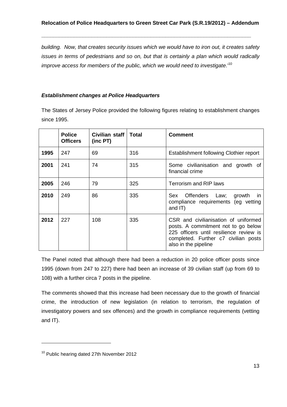building. Now, that creates security issues which we would have to iron out, it creates safety issues in terms of pedestrians and so on, but that is certainly a plan which would radically improve access for members of the public, which we would need to investigate.<sup>10</sup>

#### **Establishment changes at Police Headquarters**

The States of Jersey Police provided the following figures relating to establishment changes since 1995.

|      | <b>Police</b><br><b>Officers</b> | Civilian staff<br>(inc PT) | Total | <b>Comment</b>                                                                                                                                                                         |
|------|----------------------------------|----------------------------|-------|----------------------------------------------------------------------------------------------------------------------------------------------------------------------------------------|
| 1995 | 247                              | 69                         | 316   | Establishment following Clothier report                                                                                                                                                |
| 2001 | 241                              | 74                         | 315   | Some civilianisation and growth of<br>financial crime                                                                                                                                  |
| 2005 | 246                              | 79                         | 325   | Terrorism and RIP laws                                                                                                                                                                 |
| 2010 | 249                              | 86                         | 335   | Offenders Law;<br>Sex<br>growth<br>- in<br>compliance requirements (eg vetting<br>and $ T\rangle$                                                                                      |
| 2012 | 227                              | 108                        | 335   | CSR and civilianisation of uniformed<br>posts. A commitment not to go below<br>225 officers until resilience review is<br>completed. Further c7 civilian posts<br>also in the pipeline |

The Panel noted that although there had been a reduction in 20 police officer posts since 1995 (down from 247 to 227) there had been an increase of 39 civilian staff (up from 69 to 108) with a further circa 7 posts in the pipeline.

The comments showed that this increase had been necessary due to the growth of financial crime, the introduction of new legislation (in relation to terrorism, the regulation of investigatory powers and sex offences) and the growth in compliance requirements (vetting and IT).

 $\overline{a}$ 

<sup>&</sup>lt;sup>10</sup> Public hearing dated 27th November 2012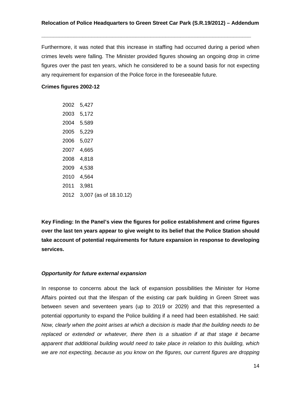Furthermore, it was noted that this increase in staffing had occurred during a period when crimes levels were falling. The Minister provided figures showing an ongoing drop in crime figures over the past ten years, which he considered to be a sound basis for not expecting any requirement for expansion of the Police force in the foreseeable future.

#### **Crimes figures 2002-12**

|  | 2002 5,427                  |
|--|-----------------------------|
|  | 2003 5,172                  |
|  | 2004 5.589                  |
|  | 2005 5,229                  |
|  | 2006 5,027                  |
|  | 2007 4,665                  |
|  | 2008 4,818                  |
|  | 2009 4,538                  |
|  | 2010 4,564                  |
|  | 2011 3,981                  |
|  | 2012 3,007 (as of 18.10.12) |

**Key Finding: In the Panel's view the figures for police establishment and crime figures over the last ten years appear to give weight to its belief that the Police Station should take account of potential requirements for future expansion in response to developing services.** 

#### **Opportunity for future external expansion**

In response to concerns about the lack of expansion possibilities the Minister for Home Affairs pointed out that the lifespan of the existing car park building in Green Street was between seven and seventeen years (up to 2019 or 2029) and that this represented a potential opportunity to expand the Police building if a need had been established. He said: Now, clearly when the point arises at which a decision is made that the building needs to be replaced or extended or whatever, there then is a situation if at that stage it became apparent that additional building would need to take place in relation to this building, which we are not expecting, because as you know on the figures, our current figures are dropping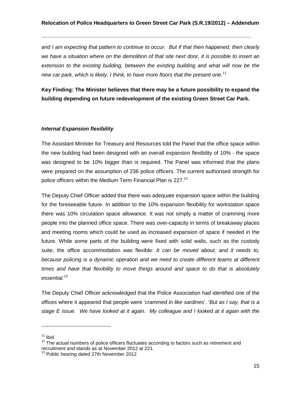and I am expecting that pattern to continue to occur. But if that then happened, then clearly we have a situation where on the demolition of that site next door, it is possible to insert an extension to the existing building, between the existing building and what will now be the new car park, which is likely, I think, to have more floors that the present one.<sup>11</sup>

**Key Finding: The Minister believes that there may be a future possibility to expand the building depending on future redevelopment of the existing Green Street Car Park.** 

#### **Internal Expansion flexibility**

The Assistant Minister for Treasury and Resources told the Panel that the office space within the new building had been designed with an overall expansion flexibility of 10% - the space was designed to be 10% bigger than is required. The Panel was informed that the plans were prepared on the assumption of 236 police officers. The current authorised strength for police officers within the Medium Term Financial Plan is 227.<sup>12</sup>

The Deputy Chief Officer added that there was adequate expansion space within the building for the foreseeable future. In addition to the 10% expansion flexibility for workstation space there was 10% circulation space allowance. It was not simply a matter of cramming more people into the planned office space. There was over-capacity in terms of breakaway places and meeting rooms which could be used as increased expansion of space if needed in the future. While some parts of the building were fixed with solid walls, such as the custody suite, the office accommodation was flexible: It can be moved about, and it needs to, because policing is a dynamic operation and we need to create different teams at different times and have that flexibility to move things around and space to do that is absolutely essential.<sup>13</sup>

The Deputy Chief Officer acknowledged that the Police Association had identified one of the offices where it appeared that people were 'crammed in like sardines'. 'But as I say, that is a stage E issue. We have looked at it again. My colleague and I looked at it again with the

 $\overline{a}$ 

 $11$  Ibid

<sup>&</sup>lt;sup>12</sup> The actual numbers of police officers fluctuates according to factors such as retirement and recruitment and stands as at November 2012 at 221.

<sup>&</sup>lt;sup>13</sup> Public hearing dated 27th November 2012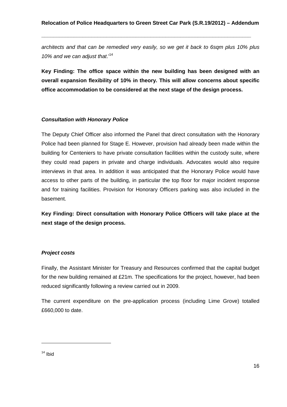architects and that can be remedied very easily, so we get it back to 6sqm plus 10% plus 10% and we can adjust that.<sup>114</sup>

**Key Finding: The office space within the new building has been designed with an overall expansion flexibility of 10% in theory. This will allow concerns about specific office accommodation to be considered at the next stage of the design process.** 

#### **Consultation with Honorary Police**

The Deputy Chief Officer also informed the Panel that direct consultation with the Honorary Police had been planned for Stage E. However, provision had already been made within the building for Centeniers to have private consultation facilities within the custody suite, where they could read papers in private and charge individuals. Advocates would also require interviews in that area. In addition it was anticipated that the Honorary Police would have access to other parts of the building, in particular the top floor for major incident response and for training facilities. Provision for Honorary Officers parking was also included in the basement.

**Key Finding: Direct consultation with Honorary Police Officers will take place at the next stage of the design process.** 

#### **Project costs**

Finally, the Assistant Minister for Treasury and Resources confirmed that the capital budget for the new building remained at £21m. The specifications for the project, however, had been reduced significantly following a review carried out in 2009.

The current expenditure on the pre-application process (including Lime Grove) totalled £660,000 to date.

 $\overline{a}$ 

 $14$  Ibid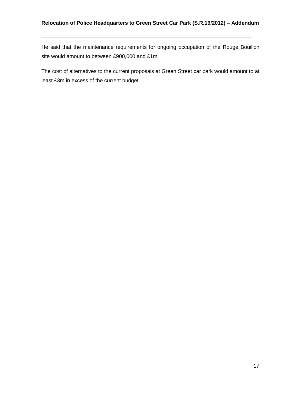#### **Relocation of Police Headquarters to Green Street Car Park (S.R.19/2012) – Addendum**

**\_\_\_\_\_\_\_\_\_\_\_\_\_\_\_\_\_\_\_\_\_\_\_\_\_\_\_\_\_\_\_\_\_\_\_\_\_\_\_\_\_\_\_\_\_\_\_\_\_\_\_\_\_\_\_\_\_\_\_\_\_\_\_\_\_\_\_\_\_\_\_** 

He said that the maintenance requirements for ongoing occupation of the Rouge Bouillon site would amount to between £900,000 and £1m.

The cost of alternatives to the current proposals at Green Street car park would amount to at least £3m in excess of the current budget.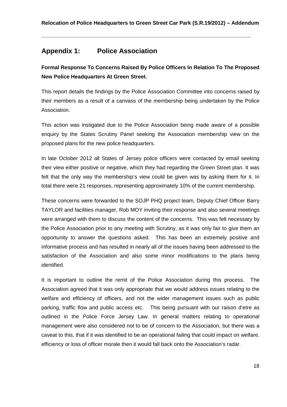# **Appendix 1: Police Association**

**Formal Response To Concerns Raised By Police Officers In Relation To The Proposed New Police Headquarters At Green Street.** 

This report details the findings by the Police Association Committee into concerns raised by their members as a result of a canvass of the membership being undertaken by the Police Association.

This action was instigated due to the Police Association being made aware of a possible enquiry by the States Scrutiny Panel seeking the Association membership view on the proposed plans for the new police headquarters.

In late October 2012 all States of Jersey police officers were contacted by email seeking their view either positive or negative, which they had regarding the Green Street plan. It was felt that the only way the membership's view could be given was by asking them for it. In total there were 21 responses, representing approximately 10% of the current membership.

These concerns were forwarded to the SOJP PHQ project team, Deputy Chief Officer Barry TAYLOR and facilities manager, Rob MOY inviting their response and also several meetings were arranged with them to discuss the content of the concerns. This was felt necessary by the Police Association prior to any meeting with Scrutiny, as it was only fair to give them an opportunity to answer the questions asked. This has been an extremely positive and informative process and has resulted in nearly all of the issues having been addressed to the satisfaction of the Association and also some minor modifications to the plans being identified.

It is important to outline the remit of the Police Association during this process. The Association agreed that it was only appropriate that we would address issues relating to the welfare and efficiency of officers, and not the wider management issues such as public parking, traffic flow and public access etc. This being pursuant with our raison d'etre as outlined in the Police Force Jersey Law. In general matters relating to operational management were also considered not to be of concern to the Association, but there was a caveat to this, that if it was identified to be an operational failing that could impact on welfare, efficiency or loss of officer morale then it would fall back onto the Association's radar.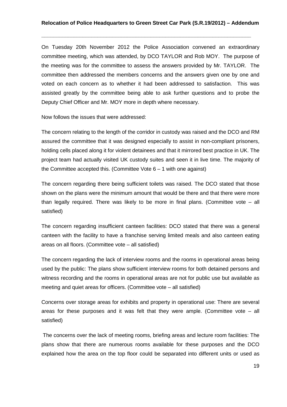On Tuesday 20th November 2012 the Police Association convened an extraordinary committee meeting, which was attended, by DCO TAYLOR and Rob MOY. The purpose of the meeting was for the committee to assess the answers provided by Mr. TAYLOR. The committee then addressed the members concerns and the answers given one by one and voted on each concern as to whether it had been addressed to satisfaction. This was assisted greatly by the committee being able to ask further questions and to probe the Deputy Chief Officer and Mr. MOY more in depth where necessary.

Now follows the issues that were addressed:

The concern relating to the length of the corridor in custody was raised and the DCO and RM assured the committee that it was designed especially to assist in non-compliant prisoners, holding cells placed along it for violent detainees and that it mirrored best practice in UK. The project team had actually visited UK custody suites and seen it in live time. The majority of the Committee accepted this. (Committee Vote  $6 - 1$  with one against)

The concern regarding there being sufficient toilets was raised. The DCO stated that those shown on the plans were the minimum amount that would be there and that there were more than legally required. There was likely to be more in final plans. (Committee vote – all satisfied)

The concern regarding insufficient canteen facilities: DCO stated that there was a general canteen with the facility to have a franchise serving limited meals and also canteen eating areas on all floors. (Committee vote – all satisfied)

The concern regarding the lack of interview rooms and the rooms in operational areas being used by the public: The plans show sufficient interview rooms for both detained persons and witness recording and the rooms in operational areas are not for public use but available as meeting and quiet areas for officers. (Committee vote – all satisfied)

Concerns over storage areas for exhibits and property in operational use: There are several areas for these purposes and it was felt that they were ample. (Committee vote  $-$  all satisfied)

 The concerns over the lack of meeting rooms, briefing areas and lecture room facilities: The plans show that there are numerous rooms available for these purposes and the DCO explained how the area on the top floor could be separated into different units or used as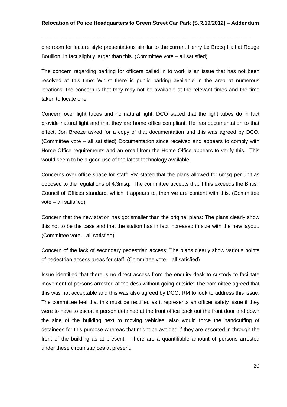one room for lecture style presentations similar to the current Henry Le Brocq Hall at Rouge Bouillon, in fact slightly larger than this. (Committee vote – all satisfied)

The concern regarding parking for officers called in to work is an issue that has not been resolved at this time: Whilst there is public parking available in the area at numerous locations, the concern is that they may not be available at the relevant times and the time taken to locate one.

Concern over light tubes and no natural light: DCO stated that the light tubes do in fact provide natural light and that they are home office compliant. He has documentation to that effect. Jon Breeze asked for a copy of that documentation and this was agreed by DCO. (Committee vote – all satisfied) Documentation since received and appears to comply with Home Office requirements and an email from the Home Office appears to verify this. This would seem to be a good use of the latest technology available.

Concerns over office space for staff: RM stated that the plans allowed for 6msq per unit as opposed to the regulations of 4.3msq. The committee accepts that if this exceeds the British Council of Offices standard, which it appears to, then we are content with this. (Committee vote – all satisfied)

Concern that the new station has got smaller than the original plans: The plans clearly show this not to be the case and that the station has in fact increased in size with the new layout. (Committee vote – all satisfied)

Concern of the lack of secondary pedestrian access: The plans clearly show various points of pedestrian access areas for staff. (Committee vote – all satisfied)

Issue identified that there is no direct access from the enquiry desk to custody to facilitate movement of persons arrested at the desk without going outside: The committee agreed that this was not acceptable and this was also agreed by DCO. RM to look to address this issue. The committee feel that this must be rectified as it represents an officer safety issue if they were to have to escort a person detained at the front office back out the front door and down the side of the building next to moving vehicles, also would force the handcuffing of detainees for this purpose whereas that might be avoided if they are escorted in through the front of the building as at present. There are a quantifiable amount of persons arrested under these circumstances at present.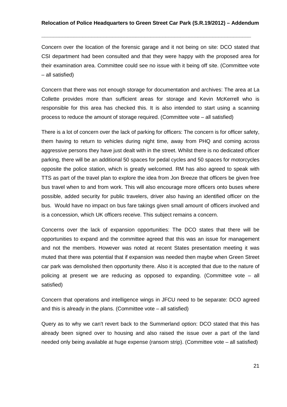Concern over the location of the forensic garage and it not being on site: DCO stated that CSI department had been consulted and that they were happy with the proposed area for their examination area. Committee could see no issue with it being off site. (Committee vote – all satisfied)

Concern that there was not enough storage for documentation and archives: The area at La Collette provides more than sufficient areas for storage and Kevin McKerrell who is responsible for this area has checked this. It is also intended to start using a scanning process to reduce the amount of storage required. (Committee vote – all satisfied)

There is a lot of concern over the lack of parking for officers: The concern is for officer safety, them having to return to vehicles during night time, away from PHQ and coming across aggressive persons they have just dealt with in the street. Whilst there is no dedicated officer parking, there will be an additional 50 spaces for pedal cycles and 50 spaces for motorcycles opposite the police station, which is greatly welcomed. RM has also agreed to speak with TTS as part of the travel plan to explore the idea from Jon Breeze that officers be given free bus travel when to and from work. This will also encourage more officers onto buses where possible, added security for public travelers, driver also having an identified officer on the bus. Would have no impact on bus fare takings given small amount of officers involved and is a concession, which UK officers receive. This subject remains a concern.

Concerns over the lack of expansion opportunities: The DCO states that there will be opportunities to expand and the committee agreed that this was an issue for management and not the members. However was noted at recent States presentation meeting it was muted that there was potential that if expansion was needed then maybe when Green Street car park was demolished then opportunity there. Also it is accepted that due to the nature of policing at present we are reducing as opposed to expanding. (Committee vote – all satisfied)

Concern that operations and intelligence wings in JFCU need to be separate: DCO agreed and this is already in the plans. (Committee vote – all satisfied)

Query as to why we can't revert back to the Summerland option: DCO stated that this has already been signed over to housing and also raised the issue over a part of the land needed only being available at huge expense (ransom strip). (Committee vote – all satisfied)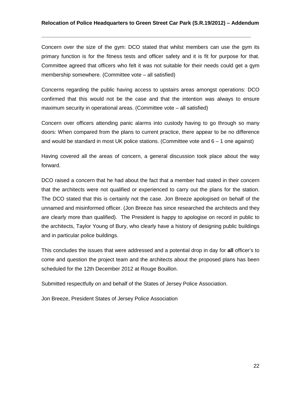Concern over the size of the gym: DCO stated that whilst members can use the gym its primary function is for the fitness tests and officer safety and it is fit for purpose for that. Committee agreed that officers who felt it was not suitable for their needs could get a gym membership somewhere. (Committee vote – all satisfied)

Concerns regarding the public having access to upstairs areas amongst operations: DCO confirmed that this would not be the case and that the intention was always to ensure maximum security in operational areas. (Committee vote – all satisfied)

Concern over officers attending panic alarms into custody having to go through so many doors: When compared from the plans to current practice, there appear to be no difference and would be standard in most UK police stations. (Committee vote and  $6 - 1$  one against)

Having covered all the areas of concern, a general discussion took place about the way forward.

DCO raised a concern that he had about the fact that a member had stated in their concern that the architects were not qualified or experienced to carry out the plans for the station. The DCO stated that this is certainly not the case. Jon Breeze apologised on behalf of the unnamed and misinformed officer. (Jon Breeze has since researched the architects and they are clearly more than qualified). The President is happy to apologise on record in public to the architects, Taylor Young of Bury, who clearly have a history of designing public buildings and in particular police buildings.

This concludes the issues that were addressed and a potential drop in day for **all** officer's to come and question the project team and the architects about the proposed plans has been scheduled for the 12th December 2012 at Rouge Bouillon.

Submitted respectfully on and behalf of the States of Jersey Police Association.

Jon Breeze, President States of Jersey Police Association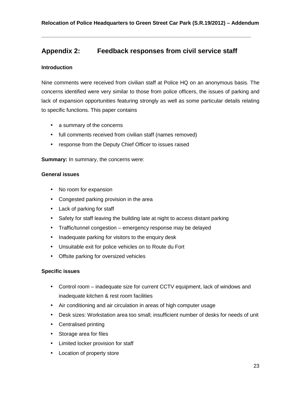# **Appendix 2: Feedback responses from civil service staff**

#### **Introduction**

Nine comments were received from civilian staff at Police HQ on an anonymous basis. The concerns identified were very similar to those from police officers, the issues of parking and lack of expansion opportunities featuring strongly as well as some particular details relating to specific functions. This paper contains

- a summary of the concerns
- full comments received from civilian staff (names removed)
- response from the Deputy Chief Officer to issues raised

**Summary:** In summary, the concerns were:

#### **General issues**

- No room for expansion
- Congested parking provision in the area
- Lack of parking for staff
- Safety for staff leaving the building late at night to access distant parking
- Traffic/tunnel congestion emergency response may be delayed
- Inadequate parking for visitors to the enquiry desk
- Unsuitable exit for police vehicles on to Route du Fort
- Offsite parking for oversized vehicles

#### **Specific issues**

- Control room inadequate size for current CCTV equipment, lack of windows and inadequate kitchen & rest room facilities
- Air conditioning and air circulation in areas of high computer usage
- Desk sizes: Workstation area too small; insufficient number of desks for needs of unit
- Centralised printing
- Storage area for files
- Limited locker provision for staff
- Location of property store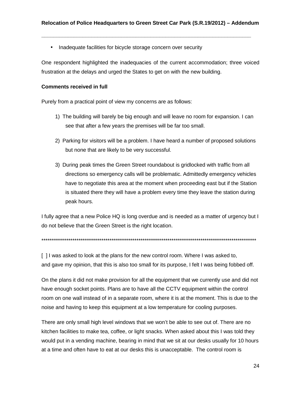• Inadequate facilities for bicycle storage concern over security

One respondent highlighted the inadequacies of the current accommodation; three voiced frustration at the delays and urged the States to get on with the new building.

#### **Comments received in full**

Purely from a practical point of view my concerns are as follows:

- 1) The building will barely be big enough and will leave no room for expansion. I can see that after a few years the premises will be far too small.
- 2) Parking for visitors will be a problem. I have heard a number of proposed solutions but none that are likely to be very successful.
- 3) During peak times the Green Street roundabout is gridlocked with traffic from all directions so emergency calls will be problematic. Admittedly emergency vehicles have to negotiate this area at the moment when proceeding east but if the Station is situated there they will have a problem every time they leave the station during peak hours.

I fully agree that a new Police HQ is long overdue and is needed as a matter of urgency but I do not believe that the Green Street is the right location.

\*\*\*\*\*\*\*\*\*\*\*\*\*\*\*\*\*\*\*\*\*\*\*\*\*\*\*\*\*\*\*\*\*\*\*\*\*\*\*\*\*\*\*\*\*\*\*\*\*\*\*\*\*\*\*\*\*\*\*\*\*\*\*\*\*\*\*\*\*\*\*\*\*\*\*\*\*\*\*\*\*\*\*\*\*\*\*\*\*\*\*\*\*\*\*\*\*\*\*\*\*\*\*\*

[ ] I was asked to look at the plans for the new control room. Where I was asked to, and gave my opinion, that this is also too small for its purpose, I felt I was being fobbed off.

On the plans it did not make provision for all the equipment that we currently use and did not have enough socket points. Plans are to have all the CCTV equipment within the control room on one wall instead of in a separate room, where it is at the moment. This is due to the noise and having to keep this equipment at a low temperature for cooling purposes.

There are only small high level windows that we won't be able to see out of. There are no kitchen facilities to make tea, coffee, or light snacks. When asked about this I was told they would put in a vending machine, bearing in mind that we sit at our desks usually for 10 hours at a time and often have to eat at our desks this is unacceptable. The control room is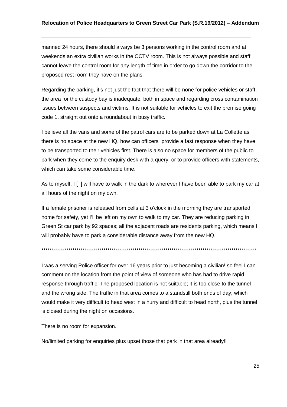manned 24 hours, there should always be 3 persons working in the control room and at weekends an extra civilian works in the CCTV room. This is not always possible and staff cannot leave the control room for any length of time in order to go down the corridor to the proposed rest room they have on the plans.

**\_\_\_\_\_\_\_\_\_\_\_\_\_\_\_\_\_\_\_\_\_\_\_\_\_\_\_\_\_\_\_\_\_\_\_\_\_\_\_\_\_\_\_\_\_\_\_\_\_\_\_\_\_\_\_\_\_\_\_\_\_\_\_\_\_\_\_\_\_\_\_** 

Regarding the parking, it's not just the fact that there will be none for police vehicles or staff, the area for the custody bay is inadequate, both in space and regarding cross contamination issues between suspects and victims. It is not suitable for vehicles to exit the premise going code 1, straight out onto a roundabout in busy traffic.

I believe all the vans and some of the patrol cars are to be parked down at La Collette as there is no space at the new HQ, how can officers provide a fast response when they have to be transported to their vehicles first. There is also no space for members of the public to park when they come to the enquiry desk with a query, or to provide officers with statements, which can take some considerable time.

As to myself, I [ ] will have to walk in the dark to wherever I have been able to park my car at all hours of the night on my own.

If a female prisoner is released from cells at 3 o'clock in the morning they are transported home for safety, yet I'll be left on my own to walk to my car. They are reducing parking in Green St car park by 92 spaces; all the adjacent roads are residents parking, which means I will probably have to park a considerable distance away from the new HQ.

\*\*\*\*\*\*\*\*\*\*\*\*\*\*\*\*\*\*\*\*\*\*\*\*\*\*\*\*\*\*\*\*\*\*\*\*\*\*\*\*\*\*\*\*\*\*\*\*\*\*\*\*\*\*\*\*\*\*\*\*\*\*\*\*\*\*\*\*\*\*\*\*\*\*\*\*\*\*\*\*\*\*\*\*\*\*\*\*\*\*\*\*\*\*\*\*\*\*\*\*\*\*\*\*

I was a serving Police officer for over 16 years prior to just becoming a civilian! so feel I can comment on the location from the point of view of someone who has had to drive rapid response through traffic. The proposed location is not suitable; it is too close to the tunnel and the wrong side. The traffic in that area comes to a standstill both ends of day, which would make it very difficult to head west in a hurry and difficult to head north, plus the tunnel is closed during the night on occasions.

There is no room for expansion.

No/limited parking for enquiries plus upset those that park in that area already!!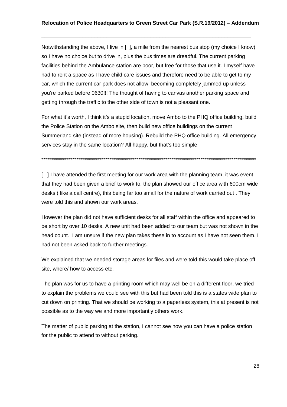Notwithstanding the above, I live in [ ], a mile from the nearest bus stop (my choice I know) so I have no choice but to drive in, plus the bus times are dreadful. The current parking facilities behind the Ambulance station are poor, but free for those that use it. I myself have had to rent a space as I have child care issues and therefore need to be able to get to my car, which the current car park does not allow, becoming completely jammed up unless you're parked before 0630!!! The thought of having to canvas another parking space and getting through the traffic to the other side of town is not a pleasant one.

For what it's worth, I think it's a stupid location, move Ambo to the PHQ office building, build the Police Station on the Ambo site, then build new office buildings on the current Summerland site (instead of more housing). Rebuild the PHQ office building. All emergency services stay in the same location? All happy, but that's too simple.

\*\*\*\*\*\*\*\*\*\*\*\*\*\*\*\*\*\*\*\*\*\*\*\*\*\*\*\*\*\*\*\*\*\*\*\*\*\*\*\*\*\*\*\*\*\*\*\*\*\*\*\*\*\*\*\*\*\*\*\*\*\*\*\*\*\*\*\*\*\*\*\*\*\*\*\*\*\*\*\*\*\*\*\*\*\*\*\*\*\*\*\*\*\*\*\*\*\*\*\*\*\*\*\*

[ ] I have attended the first meeting for our work area with the planning team, it was event that they had been given a brief to work to, the plan showed our office area with 600cm wide desks ( like a call centre), this being far too small for the nature of work carried out . They were told this and shown our work areas.

However the plan did not have sufficient desks for all staff within the office and appeared to be short by over 10 desks. A new unit had been added to our team but was not shown in the head count. I am unsure if the new plan takes these in to account as I have not seen them. I had not been asked back to further meetings.

We explained that we needed storage areas for files and were told this would take place off site, where/ how to access etc.

The plan was for us to have a printing room which may well be on a different floor, we tried to explain the problems we could see with this but had been told this is a states wide plan to cut down on printing. That we should be working to a paperless system, this at present is not possible as to the way we and more importantly others work.

The matter of public parking at the station, I cannot see how you can have a police station for the public to attend to without parking.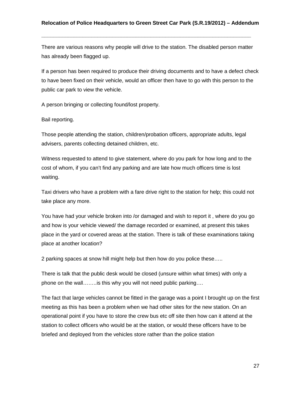#### **Relocation of Police Headquarters to Green Street Car Park (S.R.19/2012) – Addendum**

There are various reasons why people will drive to the station. The disabled person matter has already been flagged up.

**\_\_\_\_\_\_\_\_\_\_\_\_\_\_\_\_\_\_\_\_\_\_\_\_\_\_\_\_\_\_\_\_\_\_\_\_\_\_\_\_\_\_\_\_\_\_\_\_\_\_\_\_\_\_\_\_\_\_\_\_\_\_\_\_\_\_\_\_\_\_\_** 

If a person has been required to produce their driving documents and to have a defect check to have been fixed on their vehicle, would an officer then have to go with this person to the public car park to view the vehicle.

A person bringing or collecting found/lost property.

Bail reporting.

Those people attending the station, children/probation officers, appropriate adults, legal advisers, parents collecting detained children, etc.

Witness requested to attend to give statement, where do you park for how long and to the cost of whom, if you can't find any parking and are late how much officers time is lost waiting.

Taxi drivers who have a problem with a fare drive right to the station for help; this could not take place any more.

You have had your vehicle broken into /or damaged and wish to report it , where do you go and how is your vehicle viewed/ the damage recorded or examined, at present this takes place in the yard or covered areas at the station. There is talk of these examinations taking place at another location?

2 parking spaces at snow hill might help but then how do you police these…..

There is talk that the public desk would be closed (unsure within what times) with only a phone on the wall……..is this why you will not need public parking….

The fact that large vehicles cannot be fitted in the garage was a point I brought up on the first meeting as this has been a problem when we had other sites for the new station. On an operational point if you have to store the crew bus etc off site then how can it attend at the station to collect officers who would be at the station, or would these officers have to be briefed and deployed from the vehicles store rather than the police station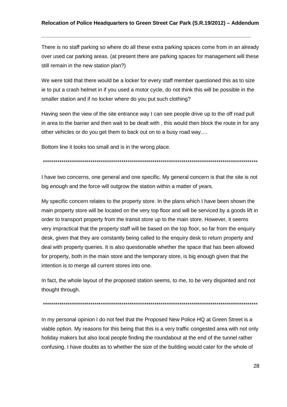There is no staff parking so where do all these extra parking spaces come from in an already over used car parking areas. (at present there are parking spaces for management will these still remain in the new station plan?)

We were told that there would be a locker for every staff member questioned this as to size ie to put a crash helmet in if you used a motor cycle, do not think this will be possible in the smaller station and if no locker where do you put such clothing?

Having seen the view of the site entrance way I can see people drive up to the off road pull in area to the barrier and then wait to be dealt with , this would then block the route in for any other vehicles or do you get them to back out on to a busy road way….

Bottom line it looks too small and is in the wrong place.

\*\*\*\*\*\*\*\*\*\*\*\*\*\*\*\*\*\*\*\*\*\*\*\*\*\*\*\*\*\*\*\*\*\*\*\*\*\*\*\*\*\*\*\*\*\*\*\*\*\*\*\*\*\*\*\*\*\*\*\*\*\*\*\*\*\*\*\*\*\*\*\*\*\*\*\*\*\*\*\*\*\*\*\*\*\*\*\*\*\*\*\*\*\*\*\*\*\*\*\*\*\*\*\*

I have two concerns, one general and one specific. My general concern is that the site is not big enough and the force will outgrow the station within a matter of years.

My specific concern relates to the property store. In the plans which I have been shown the main property store will be located on the very top floor and will be serviced by a goods lift in order to transport property from the transit store up to the main store. However, it seems very impractical that the property staff will be based on the top floor, so far from the enquiry desk, given that they are constantly being called to the enquiry desk to return property and deal with property queries. It is also questionable whether the space that has been allowed for property, both in the main store and the temporary store, is big enough given that the intention is to merge all current stores into one.

In fact, the whole layout of the proposed station seems, to me, to be very disjointed and not thought through.

\*\*\*\*\*\*\*\*\*\*\*\*\*\*\*\*\*\*\*\*\*\*\*\*\*\*\*\*\*\*\*\*\*\*\*\*\*\*\*\*\*\*\*\*\*\*\*\*\*\*\*\*\*\*\*\*\*\*\*\*\*\*\*\*\*\*\*\*\*\*\*\*\*\*\*\*\*\*\*\*\*\*\*\*\*\*\*\*\*\*\*\*\*\*\*\*\*\*\*\*\*\*\*\*

In my personal opinion I do not feel that the Proposed New Police HQ at Green Street is a viable option. My reasons for this being that this is a very traffic congested area with not only holiday makers but also local people finding the roundabout at the end of the tunnel rather confusing. I have doubts as to whether the size of the building would cater for the whole of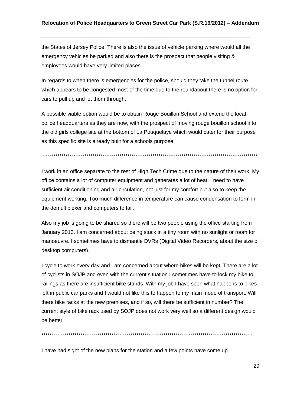the States of Jersey Police. There is also the issue of vehicle parking where would all the emergency vehicles be parked and also there is the prospect that people visiting & employees would have very limited places.

**\_\_\_\_\_\_\_\_\_\_\_\_\_\_\_\_\_\_\_\_\_\_\_\_\_\_\_\_\_\_\_\_\_\_\_\_\_\_\_\_\_\_\_\_\_\_\_\_\_\_\_\_\_\_\_\_\_\_\_\_\_\_\_\_\_\_\_\_\_\_\_** 

In regards to when there is emergencies for the police, should they take the tunnel route which appears to be congested most of the time due to the roundabout there is no option for cars to pull up and let them through.

A possible viable option would be to obtain Rouge Bouillon School and extend the local police headquarters as they are now, with the prospect of moving rouge bouillon school into the old girls college site at the bottom of La Pouquelaye which would cater for their purpose as this specific site is already built for a schools purpose.

\*\*\*\*\*\*\*\*\*\*\*\*\*\*\*\*\*\*\*\*\*\*\*\*\*\*\*\*\*\*\*\*\*\*\*\*\*\*\*\*\*\*\*\*\*\*\*\*\*\*\*\*\*\*\*\*\*\*\*\*\*\*\*\*\*\*\*\*\*\*\*\*\*\*\*\*\*\*\*\*\*\*\*\*\*\*\*\*\*\*\*\*\*\*\*\*\*\*\*\*\*\*\*\*

I work in an office separate to the rest of High Tech Crime due to the nature of their work. My office contains a lot of computer equipment and generates a lot of heat. I need to have sufficient air conditioning and air circulation, not just for my comfort but also to keep the equipment working. Too much difference in temperature can cause condensation to form in the demultiplexer and computers to fail.

Also my job is going to be shared so there will be two people using the office starting from January 2013. I am concerned about being stuck in a tiny room with no sunlight or room for manoeuvre. I sometimes have to dismantle DVRs (Digital Video Recorders, about the size of desktop computers).

I cycle to work every day and I am concerned about where bikes will be kept. There are a lot of cyclists in SOJP and even with the current situation I sometimes have to lock my bike to railings as there are insufficient bike stands. With my job I have seen what happens to bikes left in public car parks and I would not like this to happen to my main mode of transport. Will there bike racks at the new premises, and if so, will there be sufficient in number? The current style of bike rack used by SOJP does not work very well so a different design would be better.

\*\*\*\*\*\*\*\*\*\*\*\*\*\*\*\*\*\*\*\*\*\*\*\*\*\*\*\*\*\*\*\*\*\*\*\*\*\*\*\*\*\*\*\*\*\*\*\*\*\*\*\*\*\*\*\*\*\*\*\*\*\*\*\*\*\*\*\*\*\*\*\*\*\*\*\*\*\*\*\*\*\*\*\*\*\*\*\*\*\*\*\*\*\*\*\*\*\*\*\*\*\*

I have had sight of the new plans for the station and a few points have come up.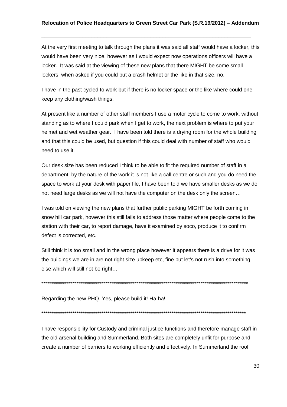At the very first meeting to talk through the plans it was said all staff would have a locker, this would have been very nice, however as I would expect now operations officers will have a locker. It was said at the viewing of these new plans that there MIGHT be some small lockers, when asked if you could put a crash helmet or the like in that size, no.

I have in the past cycled to work but if there is no locker space or the like where could one keep any clothing/wash things.

At present like a number of other staff members I use a motor cycle to come to work, without standing as to where I could park when I get to work, the next problem is where to put your helmet and wet weather gear. I have been told there is a drying room for the whole building and that this could be used, but question if this could deal with number of staff who would need to use it.

Our desk size has been reduced I think to be able to fit the required number of staff in a department, by the nature of the work it is not like a call centre or such and you do need the space to work at your desk with paper file, I have been told we have smaller desks as we do not need large desks as we will not have the computer on the desk only the screen…

I was told on viewing the new plans that further public parking MIGHT be forth coming in snow hill car park, however this still fails to address those matter where people come to the station with their car, to report damage, have it examined by soco, produce it to confirm defect is corrected, etc.

Still think it is too small and in the wrong place however it appears there is a drive for it was the buildings we are in are not right size upkeep etc, fine but let's not rush into something else which will still not be right…

\*\*\*\*\*\*\*\*\*\*\*\*\*\*\*\*\*\*\*\*\*\*\*\*\*\*\*\*\*\*\*\*\*\*\*\*\*\*\*\*\*\*\*\*\*\*\*\*\*\*\*\*\*\*\*\*\*\*\*\*\*\*\*\*\*\*\*\*\*\*\*\*\*\*\*\*\*\*\*\*\*\*\*\*\*\*\*\*\*\*\*\*\*\*\*\*\*\*\*\*

Regarding the new PHQ. Yes, please build it! Ha-ha!

\*\*\*\*\*\*\*\*\*\*\*\*\*\*\*\*\*\*\*\*\*\*\*\*\*\*\*\*\*\*\*\*\*\*\*\*\*\*\*\*\*\*\*\*\*\*\*\*\*\*\*\*\*\*\*\*\*\*\*\*\*\*\*\*\*\*\*\*\*\*\*\*\*\*\*\*\*\*\*\*\*\*\*\*\*\*\*\*\*\*\*\*\*\*\*\*\*\*\*

I have responsibility for Custody and criminal justice functions and therefore manage staff in the old arsenal building and Summerland. Both sites are completely unfit for purpose and create a number of barriers to working efficiently and effectively. In Summerland the roof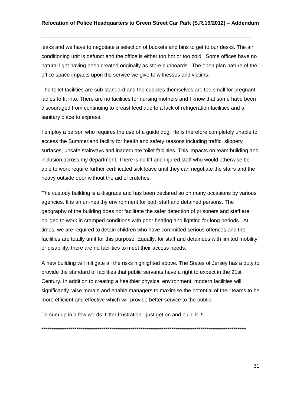leaks and we have to negotiate a selection of buckets and bins to get to our desks. The air conditioning unit is defunct and the office is either too hot or too cold. Some offices have no natural light having been created originally as store cupboards. The open plan nature of the office space impacts upon the service we give to witnesses and victims.

The toilet facilities are sub-standard and the cubicles themselves are too small for pregnant ladies to fit into. There are no facilities for nursing mothers and I know that some have been discouraged from continuing to breast feed due to a lack of refrigeration facilities and a sanitary place to express.

I employ a person who requires the use of a guide dog. He is therefore completely unable to access the Summerland facility for health and safety reasons including traffic, slippery surfaces, unsafe stairways and inadequate toilet facilities. This impacts on team building and inclusion across my department. There is no lift and injured staff who would otherwise be able to work require further certificated sick leave until they can negotiate the stairs and the heavy outside door without the aid of crutches.

The custody building is a disgrace and has been declared so on many occasions by various agencies. It is an un-healthy environment for both staff and detained persons. The geography of the building does not facilitate the safer detention of prisoners and staff are obliged to work in cramped conditions with poor heating and lighting for long periods. At times, we are required to detain children who have committed serious offences and the facilities are totally unfit for this purpose. Equally, for staff and detainees with limited mobility or disability, there are no facilities to meet their access needs.

A new building will mitigate all the risks highlighted above. The States of Jersey has a duty to provide the standard of facilities that public servants have a right to expect in the 21st Century. In addition to creating a healthier physical environment, modern facilities will significantly raise morale and enable managers to maximise the potential of their teams to be more efficient and effective which will provide better service to the public.

To sum up in a few words: Utter frustration - just get on and build it !!!

\*\*\*\*\*\*\*\*\*\*\*\*\*\*\*\*\*\*\*\*\*\*\*\*\*\*\*\*\*\*\*\*\*\*\*\*\*\*\*\*\*\*\*\*\*\*\*\*\*\*\*\*\*\*\*\*\*\*\*\*\*\*\*\*\*\*\*\*\*\*\*\*\*\*\*\*\*\*\*\*\*\*\*\*\*\*\*\*\*\*\*\*\*\*\*\*\*\*\*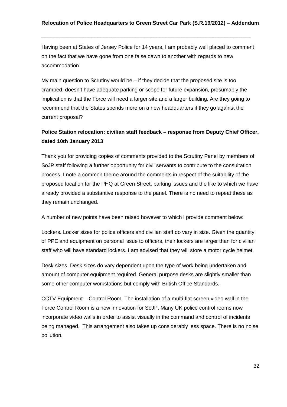Having been at States of Jersey Police for 14 years, I am probably well placed to comment on the fact that we have gone from one false dawn to another with regards to new accommodation.

**\_\_\_\_\_\_\_\_\_\_\_\_\_\_\_\_\_\_\_\_\_\_\_\_\_\_\_\_\_\_\_\_\_\_\_\_\_\_\_\_\_\_\_\_\_\_\_\_\_\_\_\_\_\_\_\_\_\_\_\_\_\_\_\_\_\_\_\_\_\_\_** 

My main question to Scrutiny would be  $-$  if they decide that the proposed site is too cramped, doesn't have adequate parking or scope for future expansion, presumably the implication is that the Force will need a larger site and a larger building. Are they going to recommend that the States spends more on a new headquarters if they go against the current proposal?

### **Police Station relocation: civilian staff feedback – response from Deputy Chief Officer, dated 10th January 2013**

Thank you for providing copies of comments provided to the Scrutiny Panel by members of SoJP staff following a further opportunity for civil servants to contribute to the consultation process. I note a common theme around the comments in respect of the suitability of the proposed location for the PHQ at Green Street, parking issues and the like to which we have already provided a substantive response to the panel. There is no need to repeat these as they remain unchanged.

A number of new points have been raised however to which l provide comment below:

Lockers. Locker sizes for police officers and civilian staff do vary in size. Given the quantity of PPE and equipment on personal issue to officers, their lockers are larger than for civilian staff who will have standard lockers. I am advised that they will store a motor cycle helmet.

Desk sizes. Desk sizes do vary dependent upon the type of work being undertaken and amount of computer equipment required. General purpose desks are slightly smaller than some other computer workstations but comply with British Office Standards.

CCTV Equipment – Control Room. The installation of a multi-flat screen video wall in the Force Control Room is a new innovation for SoJP. Many UK police control rooms now incorporate video walls in order to assist visually in the command and control of incidents being managed. This arrangement also takes up considerably less space. There is no noise pollution.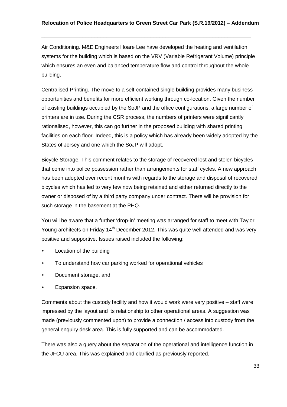Air Conditioning. M&E Engineers Hoare Lee have developed the heating and ventilation systems for the building which is based on the VRV (Variable Refrigerant Volume) principle which ensures an even and balanced temperature flow and control throughout the whole building.

Centralised Printing. The move to a self-contained single building provides many business opportunities and benefits for more efficient working through co-location. Given the number of existing buildings occupied by the SoJP and the office configurations, a large number of printers are in use. During the CSR process, the numbers of printers were significantly rationalised, however, this can go further in the proposed building with shared printing facilities on each floor. Indeed, this is a policy which has already been widely adopted by the States of Jersey and one which the SoJP will adopt.

Bicycle Storage. This comment relates to the storage of recovered lost and stolen bicycles that come into police possession rather than arrangements for staff cycles. A new approach has been adopted over recent months with regards to the storage and disposal of recovered bicycles which has led to very few now being retained and either returned directly to the owner or disposed of by a third party company under contract. There will be provision for such storage in the basement at the PHQ.

You will be aware that a further 'drop-in' meeting was arranged for staff to meet with Taylor Young architects on Friday 14<sup>th</sup> December 2012. This was quite well attended and was very positive and supportive. Issues raised included the following:

- Location of the building
- To understand how car parking worked for operational vehicles
- Document storage, and
- Expansion space.

Comments about the custody facility and how it would work were very positive – staff were impressed by the layout and its relationship to other operational areas. A suggestion was made (previously commented upon) to provide a connection / access into custody from the general enquiry desk area. This is fully supported and can be accommodated.

There was also a query about the separation of the operational and intelligence function in the JFCU area. This was explained and clarified as previously reported.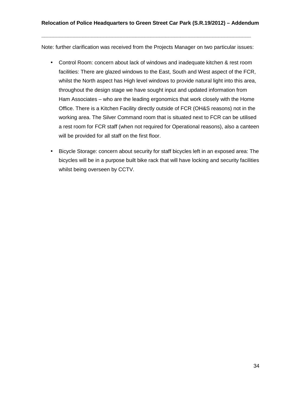Note: further clarification was received from the Projects Manager on two particular issues:

**\_\_\_\_\_\_\_\_\_\_\_\_\_\_\_\_\_\_\_\_\_\_\_\_\_\_\_\_\_\_\_\_\_\_\_\_\_\_\_\_\_\_\_\_\_\_\_\_\_\_\_\_\_\_\_\_\_\_\_\_\_\_\_\_\_\_\_\_\_\_\_** 

- Control Room: concern about lack of windows and inadequate kitchen & rest room facilities: There are glazed windows to the East, South and West aspect of the FCR, whilst the North aspect has High level windows to provide natural light into this area, throughout the design stage we have sought input and updated information from Ham Associates – who are the leading ergonomics that work closely with the Home Office. There is a Kitchen Facility directly outside of FCR (OH&S reasons) not in the working area. The Silver Command room that is situated next to FCR can be utilised a rest room for FCR staff (when not required for Operational reasons), also a canteen will be provided for all staff on the first floor.
- Bicycle Storage: concern about security for staff bicycles left in an exposed area: The bicycles will be in a purpose built bike rack that will have locking and security facilities whilst being overseen by CCTV.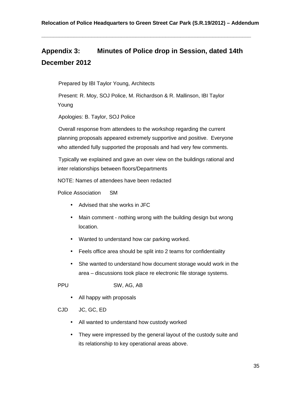# **Appendix 3: Minutes of Police drop in Session, dated 14th December 2012**

Prepared by IBI Taylor Young, Architects

Present: R. Moy, SOJ Police, M. Richardson & R. Mallinson, IBI Taylor Young

Apologies: B. Taylor, SOJ Police

Overall response from attendees to the workshop regarding the current planning proposals appeared extremely supportive and positive. Everyone who attended fully supported the proposals and had very few comments.

Typically we explained and gave an over view on the buildings rational and inter relationships between floors/Departments

NOTE: Names of attendees have been redacted

Police Association SM

- Advised that she works in JFC
- Main comment nothing wrong with the building design but wrong location.
- Wanted to understand how car parking worked.
- Feels office area should be split into 2 teams for confidentiality
- She wanted to understand how document storage would work in the area – discussions took place re electronic file storage systems.

PPU SW, AG, AB

• All happy with proposals

#### CJD JC, GC, ED

- All wanted to understand how custody worked
- They were impressed by the general layout of the custody suite and its relationship to key operational areas above.